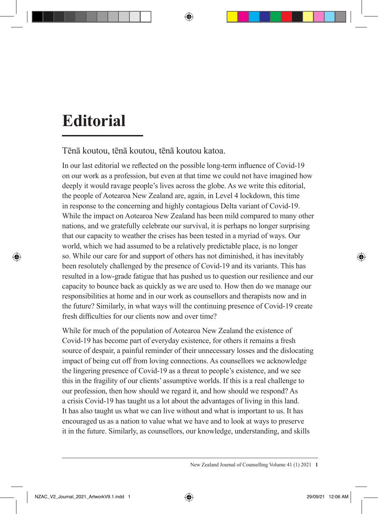## **Editorial**

Tēnā koutou, tēnā koutou, tēnā koutou katoa.

In our last editorial we reflected on the possible long-term influence of Covid-19 on our work as a profession, but even at that time we could not have imagined how deeply it would ravage people's lives across the globe. As we write this editorial, the people of Aotearoa New Zealand are, again, in Level 4 lockdown, this time in response to the concerning and highly contagious Delta variant of Covid-19. While the impact on Aotearoa New Zealand has been mild compared to many other nations, and we gratefully celebrate our survival, it is perhaps no longer surprising that our capacity to weather the crises has been tested in a myriad of ways. Our world, which we had assumed to be a relatively predictable place, is no longer so. While our care for and support of others has not diminished, it has inevitably been resolutely challenged by the presence of Covid-19 and its variants. This has resulted in a low-grade fatigue that has pushed us to question our resilience and our capacity to bounce back as quickly as we are used to. How then do we manage our responsibilities at home and in our work as counsellors and therapists now and in the future? Similarly, in what ways will the continuing presence of Covid-19 create fresh difficulties for our clients now and over time?

While for much of the population of Aotearoa New Zealand the existence of Covid-19 has become part of everyday existence, for others it remains a fresh source of despair, a painful reminder of their unnecessary losses and the dislocating impact of being cut off from loving connections. As counsellors we acknowledge the lingering presence of Covid-19 as a threat to people's existence, and we see this in the fragility of our clients' assumptive worlds. If this is a real challenge to our profession, then how should we regard it, and how should we respond? As a crisis Covid-19 has taught us a lot about the advantages of living in this land. It has also taught us what we can live without and what is important to us. It has encouraged us as a nation to value what we have and to look at ways to preserve it in the future. Similarly, as counsellors, our knowledge, understanding, and skills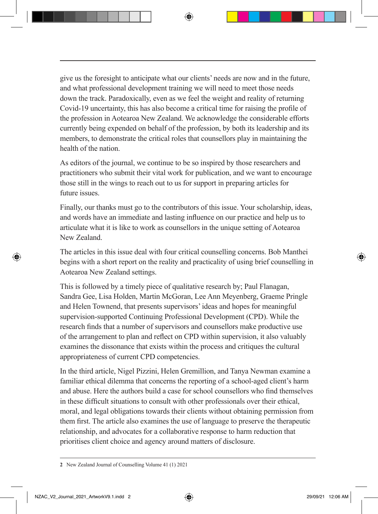give us the foresight to anticipate what our clients' needs are now and in the future, and what professional development training we will need to meet those needs down the track. Paradoxically, even as we feel the weight and reality of returning Covid-19 uncertainty, this has also become a critical time for raising the profile of the profession in Aotearoa New Zealand. We acknowledge the considerable efforts currently being expended on behalf of the profession, by both its leadership and its members, to demonstrate the critical roles that counsellors play in maintaining the health of the nation.

As editors of the journal, we continue to be so inspired by those researchers and practitioners who submit their vital work for publication, and we want to encourage those still in the wings to reach out to us for support in preparing articles for future issues.

Finally, our thanks must go to the contributors of this issue. Your scholarship, ideas, and words have an immediate and lasting influence on our practice and help us to articulate what it is like to work as counsellors in the unique setting of Aotearoa New Zealand.

The articles in this issue deal with four critical counselling concerns. Bob Manthei begins with a short report on the reality and practicality of using brief counselling in Aotearoa New Zealand settings.

This is followed by a timely piece of qualitative research by; Paul Flanagan, Sandra Gee, Lisa Holden, Martin McGoran, Lee Ann Meyenberg, Graeme Pringle and Helen Townend, that presents supervisors' ideas and hopes for meaningful supervision-supported Continuing Professional Development (CPD). While the research finds that a number of supervisors and counsellors make productive use of the arrangement to plan and reflect on CPD within supervision, it also valuably examines the dissonance that exists within the process and critiques the cultural appropriateness of current CPD competencies.

In the third article, Nigel Pizzini, Helen Gremillion, and Tanya Newman examine a familiar ethical dilemma that concerns the reporting of a school-aged client's harm and abuse. Here the authors build a case for school counsellors who find themselves in these difficult situations to consult with other professionals over their ethical, moral, and legal obligations towards their clients without obtaining permission from them first. The article also examines the use of language to preserve the therapeutic relationship, and advocates for a collaborative response to harm reduction that prioritises client choice and agency around matters of disclosure.